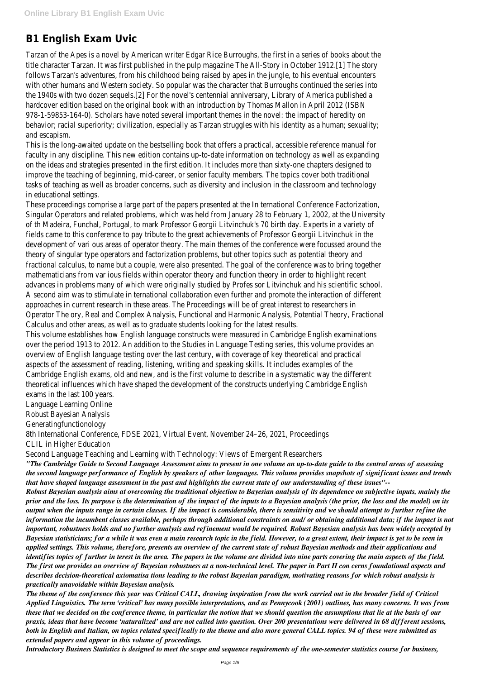# **B1 English Exam Uvic**

Tarzan of the Apes is a novel by American writer Edgar Rice Burroughs, the first in a series of books about the title character Tarzan. It was first published in the pulp magazine The All-Story in October 1912.[1] The story follows Tarzan's adventures, from his childhood being raised by apes in the jungle, to his eventual encounters with other humans and Western society. So popular was the character that Burroughs continued the series into the 1940s with two dozen sequels.[2] For the novel's centennial anniversary, Library of America published a hardcover edition based on the original book with an introduction by Thomas Mallon in April 2012 (ISBN 978-1-59853-164-0). Scholars have noted several important themes in the novel: the impact of heredity on behavior; racial superiority; civilization, especially as Tarzan struggles with his identity as a human; sexuality; and escapism.

This is the long-awaited update on the bestselling book that offers a practical, accessible reference manual for faculty in any discipline. This new edition contains up-to-date information on technology as well as expanding on the ideas and strategies presented in the first edition. It includes more than sixty-one chapters designed to improve the teaching of beginning, mid-career, or senior faculty members. The topics cover both traditional tasks of teaching as well as broader concerns, such as diversity and inclusion in the classroom and technology in educational settings.

These proceedings comprise a large part of the papers presented at the In ternational Conference Factorization, Singular Operators and related problems, which was held from January 28 to February 1, 2002, at the University of th Madeira, Funchal, Portugal, to mark Professor Georgii Litvinchuk's 70 birth day. Experts in a variety of fields came to this conference to pay tribute to the great achievements of Professor Georgii Litvinchuk in the development of vari ous areas of operator theory. The main themes of the conference were focussed around the theory of singular type operators and factorization problems, but other topics such as potential theory and fractional calculus, to name but a couple, were also presented. The goal of the conference was to bring together mathematicians from var ious fields within operator theory and function theory in order to highlight recent advances in problems many of which were originally studied by Profes sor Litvinchuk and his scientific school. A second aim was to stimulate in ternational collaboration even further and promote the interaction of different approaches in current research in these areas. The Proceedings will be of great interest to researchers in Operator The ory, Real and Complex Analysis, Functional and Harmonic Analysis, Potential Theory, Fractional Calculus and other areas, as well as to graduate students looking for the latest results.

This volume establishes how English language constructs were measured in Cambridge English examinations over the period 1913 to 2012. An addition to the Studies in Language Testing series, this volume provides an overview of English language testing over the last century, with coverage of key theoretical and practical aspects of the assessment of reading, listening, writing and speaking skills. It includes examples of the Cambridge English exams, old and new, and is the first volume to describe in a systematic way the different theoretical influences which have shaped the development of the constructs underlying Cambridge English exams in the last 100 years.

Language Learning Online

Robust Bayesian Analysis

Generatingfunctionology

8th International Conference, FDSE 2021, Virtual Event, November 24–26, 2021, Proceedings

CLIL in Higher Education

Second Language Teaching and Learning with Technology: Views of Emergent Researchers

*"The Cambridge Guide to Second Language Assessment aims to present in one volume an up-to-date guide to the central areas of assessing the second language performance of English by speakers of other languages. This volume provides snapshots of significant issues and trends that have shaped language assessment in the past and highlights the current state of our understanding of these issues"--*

*Robust Bayesian analysis aims at overcoming the traditional objection to Bayesian analysis of its dependence on subjective inputs, mainly the prior and the loss. Its purpose is the determination of the impact of the inputs to a Bayesian analysis (the prior, the loss and the model) on its output when the inputs range in certain classes. If the impact is considerable, there is sensitivity and we should attempt to further refine the information the incumbent classes available, perhaps through additional constraints on and/ or obtaining additional data; if the impact is not important, robustness holds and no further analysis and refinement would be required. Robust Bayesian analysis has been widely accepted by Bayesian statisticians; for a while it was even a main research topic in the field. However, to a great extent, their impact is yet to be seen in applied settings. This volume, therefore, presents an overview of the current state of robust Bayesian methods and their applications and identifies topics of further in terest in the area. The papers in the volume are divided into nine parts covering the main aspects of the field. The first one provides an overview of Bayesian robustness at a non-technical level. The paper in Part II con cerns foundational aspects and describes decision-theoretical axiomatisa tions leading to the robust Bayesian paradigm, motivating reasons for which robust analysis is practically unavoidable within Bayesian analysis. The theme of the conference this year was Critical CALL, drawing inspiration from the work carried out in the broader field of Critical Applied Linguistics. The term 'critical' has many possible interpretations, and as Pennycook (2001) outlines, has many concerns. It was from these that we decided on the conference theme, in particular the notion that we should question the assumptions that lie at the basis of our praxis, ideas that have become 'naturalized' and are not called into question. Over 200 presentations were delivered in 68 different sessions, both in English and Italian, on topics related specifically to the theme and also more general CALL topics. 94 of these were submitted as extended papers and appear in this volume of proceedings.*

*Introductory Business Statistics is designed to meet the scope and sequence requirements of the one-semester statistics course for business,*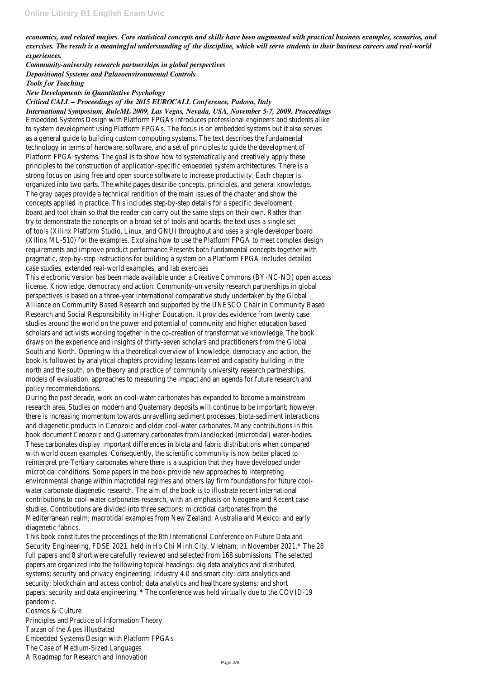*economics, and related majors. Core statistical concepts and skills have been augmented with practical business examples, scenarios, and exercises. The result is a meaningful understanding of the discipline, which will serve students in their business careers and real-world experiences.*

*Community-university research partnerships in global perspectives Depositional Systems and Palaeoenvironmental Controls Tools for Teaching*

## *New Developments in Quantitative Psychology*

*Critical CALL – Proceedings of the 2015 EUROCALL Conference, Padova, Italy*

*International Symposium, RuleML 2009, Las Vegas, Nevada, USA, November 5-7, 2009. Proceedings* Embedded Systems Design with Platform FPGAs introduces professional engineers and students alike to system development using Platform FPGAs. The focus is on embedded systems but it also serves as a general guide to building custom computing systems. The text describes the fundamental technology in terms of hardware, software, and a set of principles to guide the development of Platform FPGA systems. The goal is to show how to systematically and creatively apply these principles to the construction of application-specific embedded system architectures. There is a strong focus on using free and open source software to increase productivity. Each chapter is organized into two parts. The white pages describe concepts, principles, and general knowledge. The gray pages provide a technical rendition of the main issues of the chapter and show the concepts applied in practice. This includes step-by-step details for a specific development board and tool chain so that the reader can carry out the same steps on their own. Rather than try to demonstrate the concepts on a broad set of tools and boards, the text uses a single set of tools (Xilinx Platform Studio, Linux, and GNU) throughout and uses a single developer board (Xilinx ML-510) for the examples. Explains how to use the Platform FPGA to meet complex design requirements and improve product performance Presents both fundamental concepts together with pragmatic, step-by-step instructions for building a system on a Platform FPGA Includes detailed case studies, extended real-world examples, and lab exercises

This electronic version has been made available under a Creative Commons (BY-NC-ND) open access license. Knowledge, democracy and action: Community-university research partnerships in global perspectives is based on a three-year international comparative study undertaken by the Global Alliance on Community Based Research and supported by the UNESCO Chair in Community Based Research and Social Responsibility in Higher Education. It provides evidence from twenty case studies around the world on the power and potential of community and higher education based scholars and activists working together in the co-creation of transformative knowledge. The book draws on the experience and insights of thirty-seven scholars and practitioners from the Global South and North. Opening with a theoretical overview of knowledge, democracy and action, the book is followed by analytical chapters providing lessons learned and capacity building in the north and the south, on the theory and practice of community university research partnerships, models of evaluation, approaches to measuring the impact and an agenda for future research and policy recommendations.

During the past decade, work on cool-water carbonates has expanded to become a mainstream research area. Studies on modern and Quaternary deposits will continue to be important; however, there is increasing momentum towards unravelling sediment processes, biota-sediment interactions and diagenetic products in Cenozoic and older cool-water carbonates. Many contributions in this book document Cenozoic and Quaternary carbonates from landlocked (microtidal) water-bodies. These carbonates display important differences in biota and fabric distributions when compared with world ocean examples. Consequently, the scientific community is now better placed to reinterpret pre-Tertiary carbonates where there is a suspicion that they have developed under microtidal conditions. Some papers in the book provide new approaches to interpreting environmental change within macrotidal regimes and others lay firm foundations for future coolwater carbonate diagenetic research. The aim of the book is to illustrate recent international contributions to cool-water carbonates research, with an emphasis on Neogene and Recent case studies. Contributions are divided into three sections: microtidal carbonates from the

Mediterranean realm; macrotidal examples from New Zealand, Australia and Mexico; and early diagenetic fabrics.

This book constitutes the proceedings of the 8th International Conference on Future Data and Security Engineering, FDSE 2021, held in Ho Chi Minh City, Vietnam, in November 2021.\* The 28 full papers and 8 short were carefully reviewed and selected from 168 submissions. The selected papers are organized into the following topical headings: big data analytics and distributed systems; security and privacy engineering; industry 4.0 and smart city: data analytics and security; blockchain and access control; data analytics and healthcare systems; and short papers: security and data engineering. \* The conference was held virtually due to the COVID-19 pandemic.

Cosmos & Culture

Principles and Practice of Information Theory Tarzan of the Apes Illustrated Embedded Systems Design with Platform FPGAs The Case of Medium-Sized Languages A Roadmap for Research and Innovation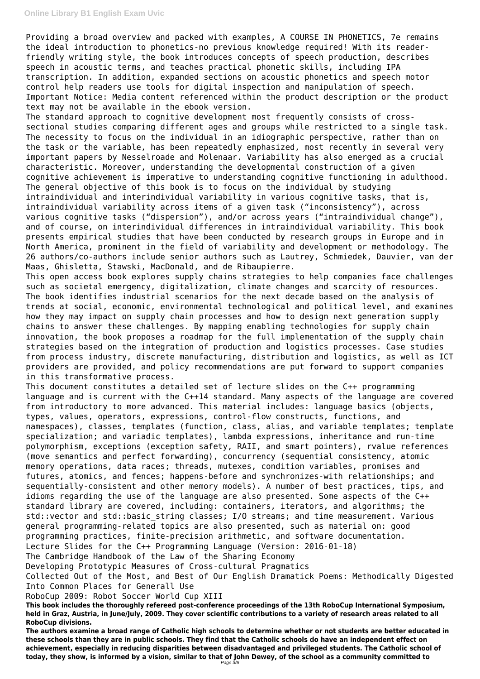Providing a broad overview and packed with examples, A COURSE IN PHONETICS, 7e remains the ideal introduction to phonetics-no previous knowledge required! With its readerfriendly writing style, the book introduces concepts of speech production, describes speech in acoustic terms, and teaches practical phonetic skills, including IPA transcription. In addition, expanded sections on acoustic phonetics and speech motor control help readers use tools for digital inspection and manipulation of speech. Important Notice: Media content referenced within the product description or the product text may not be available in the ebook version.

The standard approach to cognitive development most frequently consists of crosssectional studies comparing different ages and groups while restricted to a single task. The necessity to focus on the individual in an idiographic perspective, rather than on the task or the variable, has been repeatedly emphasized, most recently in several very important papers by Nesselroade and Molenaar. Variability has also emerged as a crucial characteristic. Moreover, understanding the developmental construction of a given cognitive achievement is imperative to understanding cognitive functioning in adulthood. The general objective of this book is to focus on the individual by studying intraindividual and interindividual variability in various cognitive tasks, that is, intraindividual variability across items of a given task ("inconsistency"), across various cognitive tasks ("dispersion"), and/or across years ("intraindividual change"), and of course, on interindividual differences in intraindividual variability. This book presents empirical studies that have been conducted by research groups in Europe and in North America, prominent in the field of variability and development or methodology. The 26 authors/co-authors include senior authors such as Lautrey, Schmiedek, Dauvier, van der Maas, Ghisletta, Stawski, MacDonald, and de Ribaupierre.

This open access book explores supply chains strategies to help companies face challenges such as societal emergency, digitalization, climate changes and scarcity of resources. The book identifies industrial scenarios for the next decade based on the analysis of trends at social, economic, environmental technological and political level, and examines how they may impact on supply chain processes and how to design next generation supply chains to answer these challenges. By mapping enabling technologies for supply chain innovation, the book proposes a roadmap for the full implementation of the supply chain strategies based on the integration of production and logistics processes. Case studies from process industry, discrete manufacturing, distribution and logistics, as well as ICT providers are provided, and policy recommendations are put forward to support companies in this transformative process.

This document constitutes a detailed set of lecture slides on the C++ programming language and is current with the C++14 standard. Many aspects of the language are covered from introductory to more advanced. This material includes: language basics (objects, types, values, operators, expressions, control-flow constructs, functions, and namespaces), classes, templates (function, class, alias, and variable templates; template specialization; and variadic templates), lambda expressions, inheritance and run-time polymorphism, exceptions (exception safety, RAII, and smart pointers), rvalue references (move semantics and perfect forwarding), concurrency (sequential consistency, atomic memory operations, data races; threads, mutexes, condition variables, promises and futures, atomics, and fences; happens-before and synchronizes-with relationships; and sequentially-consistent and other memory models). A number of best practices, tips, and idioms regarding the use of the language are also presented. Some aspects of the C++ standard library are covered, including: containers, iterators, and algorithms; the std::vector and std::basic string classes; I/O streams; and time measurement. Various general programming-related topics are also presented, such as material on: good programming practices, finite-precision arithmetic, and software documentation. Lecture Slides for the C++ Programming Language (Version: 2016-01-18) The Cambridge Handbook of the Law of the Sharing Economy Developing Prototypic Measures of Cross-cultural Pragmatics Collected Out of the Most, and Best of Our English Dramatick Poems: Methodically Digested Into Common Places for Generall Use RoboCup 2009: Robot Soccer World Cup XIII **This book includes the thoroughly refereed post-conference proceedings of the 13th RoboCup International Symposium, held in Graz, Austria, in June/July, 2009. They cover scientific contributions to a variety of research areas related to all RoboCup divisions. The authors examine a broad range of Catholic high schools to determine whether or not students are better educated in these schools than they are in public schools. They find that the Catholic schools do have an independent effect on achievement, especially in reducing disparities between disadvantaged and privileged students. The Catholic school of today, they show, is informed by a vision, similar to that of John Dewey, of the school as a community committed to**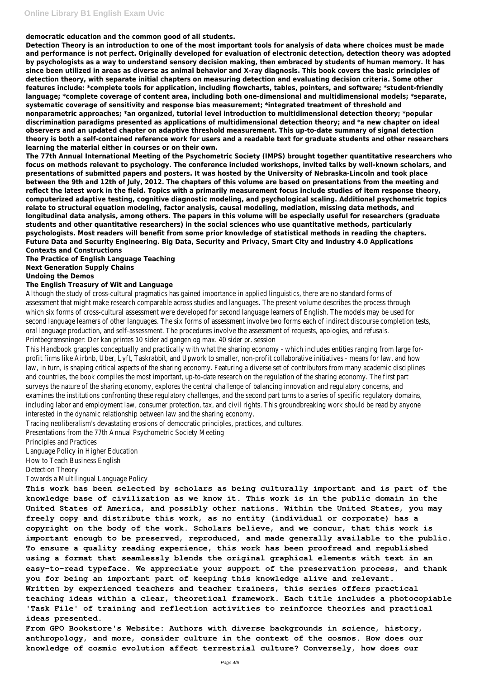**democratic education and the common good of all students.**

**Detection Theory is an introduction to one of the most important tools for analysis of data where choices must be made and performance is not perfect. Originally developed for evaluation of electronic detection, detection theory was adopted by psychologists as a way to understand sensory decision making, then embraced by students of human memory. It has since been utilized in areas as diverse as animal behavior and X-ray diagnosis. This book covers the basic principles of detection theory, with separate initial chapters on measuring detection and evaluating decision criteria. Some other features include: \*complete tools for application, including flowcharts, tables, pointers, and software; \*student-friendly language; \*complete coverage of content area, including both one-dimensional and multidimensional models; \*separate, systematic coverage of sensitivity and response bias measurement; \*integrated treatment of threshold and nonparametric approaches; \*an organized, tutorial level introduction to multidimensional detection theory; \*popular discrimination paradigms presented as applications of multidimensional detection theory; and \*a new chapter on ideal observers and an updated chapter on adaptive threshold measurement. This up-to-date summary of signal detection theory is both a self-contained reference work for users and a readable text for graduate students and other researchers learning the material either in courses or on their own.**

**The 77th Annual International Meeting of the Psychometric Society (IMPS) brought together quantitative researchers who focus on methods relevant to psychology. The conference included workshops, invited talks by well-known scholars, and presentations of submitted papers and posters. It was hosted by the University of Nebraska-Lincoln and took place between the 9th and 12th of July, 2012. The chapters of this volume are based on presentations from the meeting and reflect the latest work in the field. Topics with a primarily measurement focus include studies of item response theory, computerized adaptive testing, cognitive diagnostic modeling, and psychological scaling. Additional psychometric topics relate to structural equation modeling, factor analysis, causal modeling, mediation, missing data methods, and longitudinal data analysis, among others. The papers in this volume will be especially useful for researchers (graduate students and other quantitative researchers) in the social sciences who use quantitative methods, particularly psychologists. Most readers will benefit from some prior knowledge of statistical methods in reading the chapters. Future Data and Security Engineering. Big Data, Security and Privacy, Smart City and Industry 4.0 Applications Contexts and Constructions**

## **The Practice of English Language Teaching Next Generation Supply Chains Undoing the Demos**

## **The English Treasury of Wit and Language**

Although the study of cross-cultural pragmatics has gained importance in applied linguistics, there are no standard forms of assessment that might make research comparable across studies and languages. The present volume describes the process through which six forms of cross-cultural assessment were developed for second language learners of English. The models may be used for second language learners of other languages. The six forms of assessment involve two forms each of indirect discourse completion tests, oral language production, and self-assessment. The procedures involve the assessment of requests, apologies, and refusals. Printbegrænsninger: Der kan printes 10 sider ad gangen og max. 40 sider pr. session

This Handbook grapples conceptually and practically with what the sharing economy - which includes entities ranging from large forprofit firms like Airbnb, Uber, Lyft, Taskrabbit, and Upwork to smaller, non-profit collaborative initiatives - means for law, and how law, in turn, is shaping critical aspects of the sharing economy. Featuring a diverse set of contributors from many academic disciplines and countries, the book compiles the most important, up-to-date research on the regulation of the sharing economy. The first part surveys the nature of the sharing economy, explores the central challenge of balancing innovation and regulatory concerns, and examines the institutions confronting these regulatory challenges, and the second part turns to a series of specific regulatory domains, including labor and employment law, consumer protection, tax, and civil rights. This groundbreaking work should be read by anyone interested in the dynamic relationship between law and the sharing economy.

Tracing neoliberalism's devastating erosions of democratic principles, practices, and cultures.

Presentations from the 77th Annual Psychometric Society Meeting

Principles and Practices

Language Policy in Higher Education

How to Teach Business English

Detection Theory

Towards a Multilingual Language Policy

**This work has been selected by scholars as being culturally important and is part of the knowledge base of civilization as we know it. This work is in the public domain in the United States of America, and possibly other nations. Within the United States, you may freely copy and distribute this work, as no entity (individual or corporate) has a copyright on the body of the work. Scholars believe, and we concur, that this work is important enough to be preserved, reproduced, and made generally available to the public. To ensure a quality reading experience, this work has been proofread and republished using a format that seamlessly blends the original graphical elements with text in an easy-to-read typeface. We appreciate your support of the preservation process, and thank you for being an important part of keeping this knowledge alive and relevant. Written by experienced teachers and teacher trainers, this series offers practical teaching ideas within a clear, theoretical framework. Each title includes a photocopiable 'Task File' of training and reflection activities to reinforce theories and practical ideas presented.**

**From GPO Bookstore's Website: Authors with diverse backgrounds in science, history, anthropology, and more, consider culture in the context of the cosmos. How does our knowledge of cosmic evolution affect terrestrial culture? Conversely, how does our**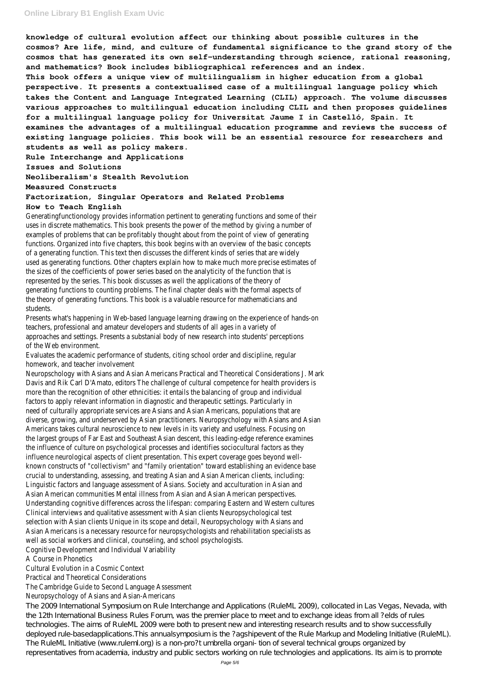**knowledge of cultural evolution affect our thinking about possible cultures in the cosmos? Are life, mind, and culture of fundamental significance to the grand story of the cosmos that has generated its own self-understanding through science, rational reasoning, and mathematics? Book includes bibliographical references and an index. This book offers a unique view of multilingualism in higher education from a global perspective. It presents a contextualised case of a multilingual language policy which takes the Content and Language Integrated Learning (CLIL) approach. The volume discusses various approaches to multilingual education including CLIL and then proposes guidelines for a multilingual language policy for Universitat Jaume I in Castelló, Spain. It examines the advantages of a multilingual education programme and reviews the success of existing language policies. This book will be an essential resource for researchers and students as well as policy makers.**

**Rule Interchange and Applications**

**Issues and Solutions**

**Neoliberalism's Stealth Revolution**

**Measured Constructs**

### **Factorization, Singular Operators and Related Problems**

#### **How to Teach English**

Generatingfunctionology provides information pertinent to generating functions and some of their uses in discrete mathematics. This book presents the power of the method by giving a number of examples of problems that can be profitably thought about from the point of view of generating functions. Organized into five chapters, this book begins with an overview of the basic concepts of a generating function. This text then discusses the different kinds of series that are widely used as generating functions. Other chapters explain how to make much more precise estimates of the sizes of the coefficients of power series based on the analyticity of the function that is represented by the series. This book discusses as well the applications of the theory of generating functions to counting problems. The final chapter deals with the formal aspects of the theory of generating functions. This book is a valuable resource for mathematicians and students.

The 2009 International Symposium on Rule Interchange and Applications (RuleML 2009), collocated in Las Vegas, Nevada, with the 12th International Business Rules Forum, was the premier place to meet and to exchange ideas from all ?elds of rules technologies. The aims of RuleML 2009 were both to present new and interesting research results and to show successfully deployed rule-basedapplications. This annualsymposium is the ?agshipevent of the Rule Markup and Modeling Initiative (RuleML). The RuleML Initiative (www.ruleml.org) is a non-pro?t umbrella organi- tion of several technical groups organized by representatives from academia, industry and public sectors working on rule technologies and applications. Its aim is to promote

Presents what's happening in Web-based language learning drawing on the experience of hands-on teachers, professional and amateur developers and students of all ages in a variety of approaches and settings. Presents a substanial body of new research into students' perceptions of the Web environment.

Evaluates the academic performance of students, citing school order and discipline, regular homework, and teacher involvement

Neuropschology with Asians and Asian Americans Practical and Theoretical Considerations J. Mark Davis and Rik Carl D'Amato, editors The challenge of cultural competence for health providers is more than the recognition of other ethnicities: it entails the balancing of group and individual factors to apply relevant information in diagnostic and therapeutic settings. Particularly in need of culturally appropriate services are Asians and Asian Americans, populations that are diverse, growing, and underserved by Asian practitioners. Neuropsychology with Asians and Asian Americans takes cultural neuroscience to new levels in its variety and usefulness. Focusing on the largest groups of Far East and Southeast Asian descent, this leading-edge reference examines the influence of culture on psychological processes and identifies sociocultural factors as they influence neurological aspects of client presentation. This expert coverage goes beyond wellknown constructs of "collectivism" and "family orientation" toward establishing an evidence base crucial to understanding, assessing, and treating Asian and Asian American clients, including: Linguistic factors and language assessment of Asians. Society and acculturation in Asian and Asian American communities Mental illness from Asian and Asian American perspectives. Understanding cognitive differences across the lifespan: comparing Eastern and Western cultures Clinical interviews and qualitative assessment with Asian clients Neuropsychological test selection with Asian clients Unique in its scope and detail, Neuropsychology with Asians and Asian Americans is a necessary resource for neuropsychologists and rehabilitation specialists as well as social workers and clinical, counseling, and school psychologists. Cognitive Development and Individual Variability A Course in Phonetics Cultural Evolution in a Cosmic Context

Practical and Theoretical Considerations

The Cambridge Guide to Second Language Assessment Neuropsychology of Asians and Asian-Americans